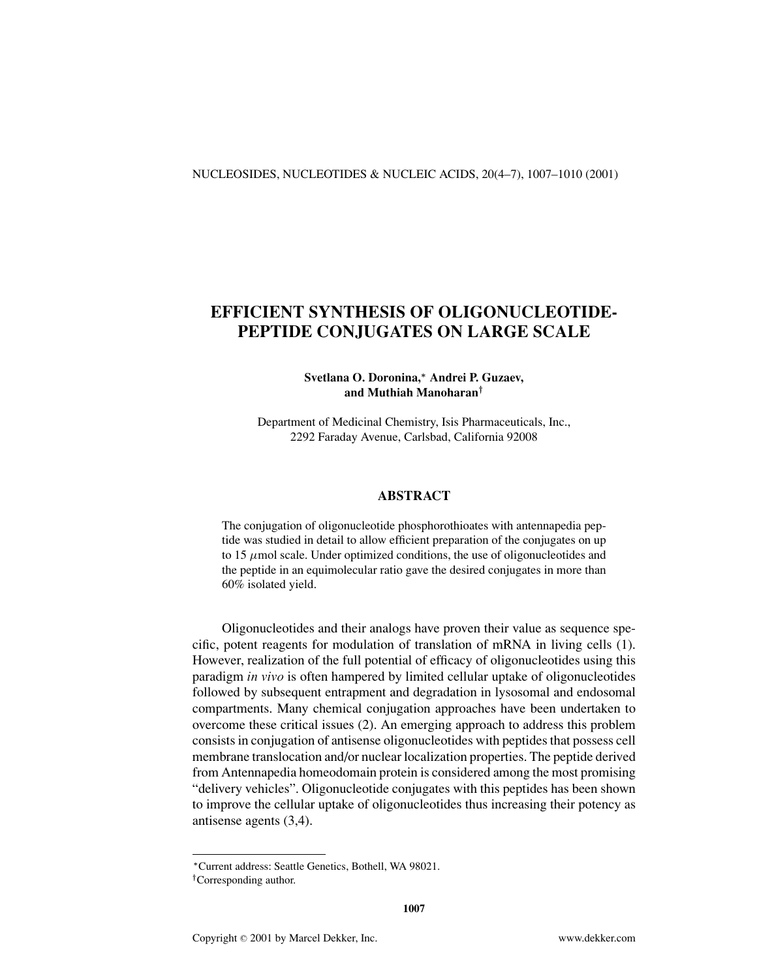# **EFFICIENT SYNTHESIS OF OLIGONUCLEOTIDE-PEPTIDE CONJUGATES ON LARGE SCALE**

### **Svetlana O. Doronina,***<sup>∗</sup>* **Andrei P. Guzaev, and Muthiah Manoharan***†*

Department of Medicinal Chemistry, Isis Pharmaceuticals, Inc., 2292 Faraday Avenue, Carlsbad, California 92008

#### **ABSTRACT**

The conjugation of oligonucleotide phosphorothioates with antennapedia peptide was studied in detail to allow efficient preparation of the conjugates on up to 15  $\mu$ mol scale. Under optimized conditions, the use of oligonucleotides and the peptide in an equimolecular ratio gave the desired conjugates in more than 60% isolated yield.

Oligonucleotides and their analogs have proven their value as sequence specific, potent reagents for modulation of translation of mRNA in living cells (1). However, realization of the full potential of efficacy of oligonucleotides using this paradigm *in vivo* is often hampered by limited cellular uptake of oligonucleotides followed by subsequent entrapment and degradation in lysosomal and endosomal compartments. Many chemical conjugation approaches have been undertaken to overcome these critical issues (2). An emerging approach to address this problem consists in conjugation of antisense oligonucleotides with peptides that possess cell membrane translocation and/or nuclear localization properties. The peptide derived from Antennapedia homeodomain protein is considered among the most promising "delivery vehicles". Oligonucleotide conjugates with this peptides has been shown to improve the cellular uptake of oligonucleotides thus increasing their potency as antisense agents (3,4).

*<sup>∗</sup>*Current address: Seattle Genetics, Bothell, WA 98021.

*<sup>†</sup>*Corresponding author.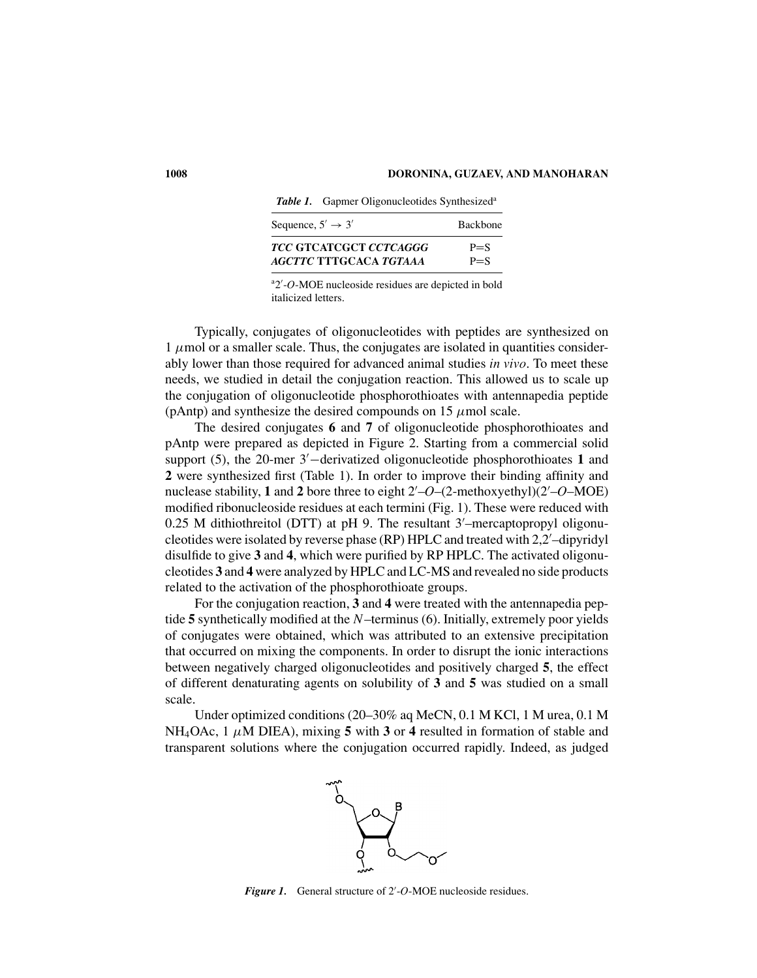Table 1. Gapmer Oligonucleotides Synthesized<sup>a</sup>

| Sequence, $5' \rightarrow 3'$ | <b>Backbone</b> |  |
|-------------------------------|-----------------|--|
| TCC GTCATCGCT CCTCAGGG        | $P = S$         |  |
| AGCTTC TTTGCACA TGTAAA        | $P = S$         |  |

a 2 -*O*-MOE nucleoside residues are depicted in bold italicized letters.

Typically, conjugates of oligonucleotides with peptides are synthesized on  $1 \mu$  mol or a smaller scale. Thus, the conjugates are isolated in quantities considerably lower than those required for advanced animal studies *in vivo*. To meet these needs, we studied in detail the conjugation reaction. This allowed us to scale up the conjugation of oligonucleotide phosphorothioates with antennapedia peptide (pAntp) and synthesize the desired compounds on 15  $\mu$ mol scale.

The desired conjugates **6** and **7** of oligonucleotide phosphorothioates and pAntp were prepared as depicted in Figure 2. Starting from a commercial solid support (5), the 20-mer 3'—derivatized oligonucleotide phosphorothioates 1 and **2** were synthesized first (Table 1). In order to improve their binding affinity and nuclease stability, **1** and **2** bore three to eight 2 –*O*–(2-methoxyethyl)(2 –*O*–MOE) modified ribonucleoside residues at each termini (Fig. 1). These were reduced with 0.25 M dithiothreitol (DTT) at pH 9. The resultant 3 –mercaptopropyl oligonucleotides were isolated by reverse phase (RP) HPLC and treated with 2,2 –dipyridyl disulfide to give **3** and **4**, which were purified by RP HPLC. The activated oligonucleotides **3** and **4** were analyzed by HPLC and LC-MS and revealed no side products related to the activation of the phosphorothioate groups.

For the conjugation reaction, **3** and **4** were treated with the antennapedia peptide **5** synthetically modified at the *N*–terminus (6). Initially, extremely poor yields of conjugates were obtained, which was attributed to an extensive precipitation that occurred on mixing the components. In order to disrupt the ionic interactions between negatively charged oligonucleotides and positively charged **5**, the effect of different denaturating agents on solubility of **3** and **5** was studied on a small scale.

Under optimized conditions (20–30% aq MeCN, 0.1 M KCl, 1 M urea, 0.1 M NH<sub>4</sub>OAc, 1  $\mu$ M DIEA), mixing **5** with **3** or **4** resulted in formation of stable and transparent solutions where the conjugation occurred rapidly. Indeed, as judged



*Figure 1.* General structure of 2 -*O*-MOE nucleoside residues.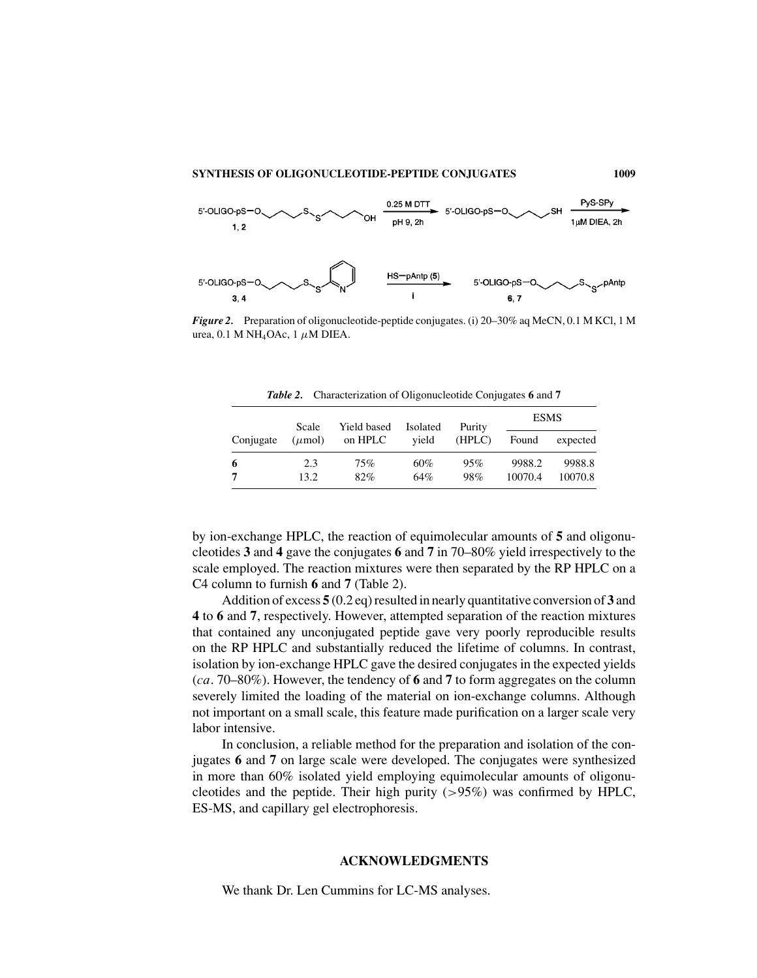#### **SYNTHESIS OF OLIGONUCLEOTIDE-PEPTIDE CONJUGATES 1009**



*Figure 2.* Preparation of oligonucleotide-peptide conjugates. (i) 20–30% aq MeCN, 0.1 M KCl, 1 M urea, 0.1 M NH<sub>4</sub>OAc, 1  $\mu$ M DIEA.

*Table 2.* Characterization of Oligonucleotide Conjugates **6** and **7**

| Conjugate | Scale<br>$(\mu \text{mol})$ | Yield based<br>on HPLC | Isolated<br>vield | Purity<br>(HPLC) | <b>ESMS</b>       |                   |
|-----------|-----------------------------|------------------------|-------------------|------------------|-------------------|-------------------|
|           |                             |                        |                   |                  | Found             | expected          |
| 6         | 2.3<br>13.2                 | 75%<br>82%             | 60%<br>64%        | 95%<br>98%       | 9988.2<br>10070.4 | 9988.8<br>10070.8 |

by ion-exchange HPLC, the reaction of equimolecular amounts of **5** and oligonucleotides **3** and **4** gave the conjugates **6** and **7** in 70–80% yield irrespectively to the scale employed. The reaction mixtures were then separated by the RP HPLC on a C4 column to furnish **6** and **7** (Table 2).

Addition of excess **5** (0.2 eq) resulted in nearly quantitative conversion of **3** and **4** to **6** and **7**, respectively. However, attempted separation of the reaction mixtures that contained any unconjugated peptide gave very poorly reproducible results on the RP HPLC and substantially reduced the lifetime of columns. In contrast, isolation by ion-exchange HPLC gave the desired conjugates in the expected yields (*ca*. 70–80%). However, the tendency of **6** and **7** to form aggregates on the column severely limited the loading of the material on ion-exchange columns. Although not important on a small scale, this feature made purification on a larger scale very labor intensive.

In conclusion, a reliable method for the preparation and isolation of the conjugates **6** and **7** on large scale were developed. The conjugates were synthesized in more than 60% isolated yield employing equimolecular amounts of oligonucleotides and the peptide. Their high purity  $(>95\%)$  was confirmed by HPLC, ES-MS, and capillary gel electrophoresis.

#### **ACKNOWLEDGMENTS**

We thank Dr. Len Cummins for LC-MS analyses.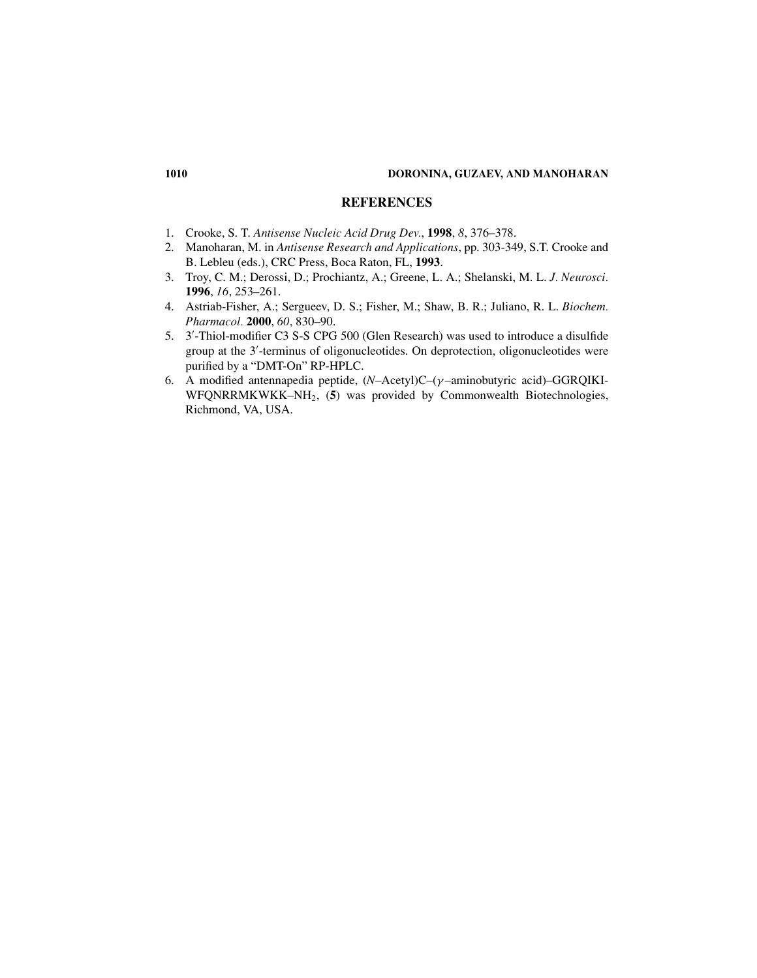#### **1010 DORONINA, GUZAEV, AND MANOHARAN**

## **REFERENCES**

- 1. Crooke, S. T. *Antisense Nucleic Acid Drug Dev.*, **1998**, *8*, 376–378.
- 2. Manoharan, M. in *Antisense Research and Applications*, pp. 303-349, S.T. Crooke and B. Lebleu (eds.), CRC Press, Boca Raton, FL, **1993**.
- 3. Troy, C. M.; Derossi, D.; Prochiantz, A.; Greene, L. A.; Shelanski, M. L. *J. Neurosci.* **1996**, *16*, 253–261.
- 4. Astriab-Fisher, A.; Sergueev, D. S.; Fisher, M.; Shaw, B. R.; Juliano, R. L. *Biochem. Pharmacol.* **2000**, *60*, 830–90.
- 5. 3 -Thiol-modifier C3 S-S CPG 500 (Glen Research) was used to introduce a disulfide group at the 3 -terminus of oligonucleotides. On deprotection, oligonucleotides were purified by a "DMT-On" RP-HPLC.
- 6. A modified antennapedia peptide, (*N*–Acetyl)C–(γ –aminobutyric acid)–GGRQIKI-WFQNRRMKWKK–NH2, (**5**) was provided by Commonwealth Biotechnologies, Richmond, VA, USA.